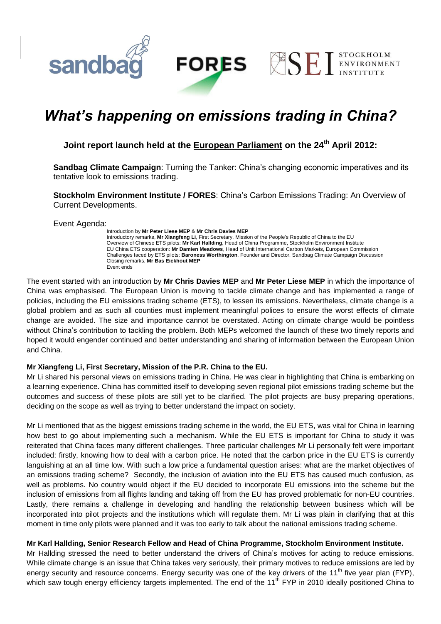

**STOCKHOLM** 

ENVIRONMENT

**ESE** 

# *What's happening on emissions trading in China?*

## **Joint report launch held at the European Parliament on the 24th April 2012:**

**Sandbag Climate Campaign**: Turning the Tanker: China's changing economic imperatives and its tentative look to emissions trading.

**Stockholm Environment Institute / FORES**: China's Carbon Emissions Trading: An Overview of Current Developments.

Event Agenda:

**sandba** 

Introduction by **Mr Peter Liese MEP** & **Mr Chris Davies MEP** Introductory remarks, **Mr Xiangfeng Li**, First Secretary, Mission of the People's Republic of China to the EU Overview of Chinese ETS pilots: **Mr Karl Hallding**, Head of China Programme, Stockholm Environment Institute EU China ETS cooperation: **Mr Damien Meadows**, Head of Unit International Carbon Markets, European Commission Challenges faced by ETS pilots: **Baroness Worthington**, Founder and Director, Sandbag Climate Campaign Discussion Closing remarks, **Mr Bas Eickhout MEP** Event ends

The event started with an introduction by **Mr Chris Davies MEP** and **Mr Peter Liese MEP** in which the importance of China was emphasised. The European Union is moving to tackle climate change and has implemented a range of policies, including the EU emissions trading scheme (ETS), to lessen its emissions. Nevertheless, climate change is a global problem and as such all counties must implement meaningful polices to ensure the worst effects of climate change are avoided. The size and importance cannot be overstated. Acting on climate change would be pointless without China's contribution to tackling the problem. Both MEPs welcomed the launch of these two timely reports and hoped it would engender continued and better understanding and sharing of information between the European Union and China.

#### **Mr Xiangfeng Li, First Secretary, Mission of the P.R. China to the EU.**

Mr Li shared his personal views on emissions trading in China. He was clear in highlighting that China is embarking on a learning experience. China has committed itself to developing seven regional pilot emissions trading scheme but the outcomes and success of these pilots are still yet to be clarified. The pilot projects are busy preparing operations, deciding on the scope as well as trying to better understand the impact on society.

Mr Li mentioned that as the biggest emissions trading scheme in the world, the EU ETS, was vital for China in learning how best to go about implementing such a mechanism. While the EU ETS is important for China to study it was reiterated that China faces many different challenges. Three particular challenges Mr Li personally felt were important included: firstly, knowing how to deal with a carbon price. He noted that the carbon price in the EU ETS is currently languishing at an all time low. With such a low price a fundamental question arises: what are the market objectives of an emissions trading scheme? Secondly, the inclusion of aviation into the EU ETS has caused much confusion, as well as problems. No country would object if the EU decided to incorporate EU emissions into the scheme but the inclusion of emissions from all flights landing and taking off from the EU has proved problematic for non-EU countries. Lastly, there remains a challenge in developing and handling the relationship between business which will be incorporated into pilot projects and the institutions which will regulate them. Mr Li was plain in clarifying that at this moment in time only pilots were planned and it was too early to talk about the national emissions trading scheme.

#### **Mr Karl Hallding, Senior Research Fellow and Head of China Programme, Stockholm Environment Institute.**

Mr Hallding stressed the need to better understand the drivers of China's motives for acting to reduce emissions. While climate change is an issue that China takes very seriously, their primary motives to reduce emissions are led by energy security and resource concerns. Energy security was one of the key drivers of the 11<sup>th</sup> five year plan (FYP), which saw tough energy efficiency targets implemented. The end of the 11<sup>th</sup> FYP in 2010 ideally positioned China to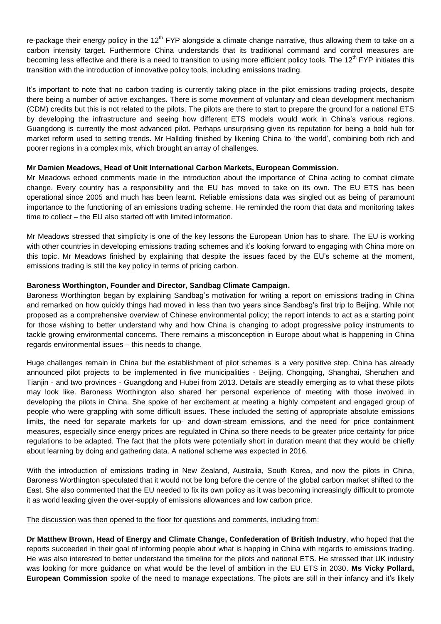re-package their energy policy in the  $12<sup>th</sup>$  FYP alongside a climate change narrative, thus allowing them to take on a carbon intensity target. Furthermore China understands that its traditional command and control measures are becoming less effective and there is a need to transition to using more efficient policy tools. The  $12<sup>th</sup>$  FYP initiates this transition with the introduction of innovative policy tools, including emissions trading.

It's important to note that no carbon trading is currently taking place in the pilot emissions trading projects, despite there being a number of active exchanges. There is some movement of voluntary and clean development mechanism (CDM) credits but this is not related to the pilots. The pilots are there to start to prepare the ground for a national ETS by developing the infrastructure and seeing how different ETS models would work in China's various regions. Guangdong is currently the most advanced pilot. Perhaps unsurprising given its reputation for being a bold hub for market reform used to setting trends. Mr Hallding finished by likening China to 'the world', combining both rich and poorer regions in a complex mix, which brought an array of challenges.

#### **Mr Damien Meadows, Head of Unit International Carbon Markets, European Commission.**

Mr Meadows echoed comments made in the introduction about the importance of China acting to combat climate change. Every country has a responsibility and the EU has moved to take on its own. The EU ETS has been operational since 2005 and much has been learnt. Reliable emissions data was singled out as being of paramount importance to the functioning of an emissions trading scheme. He reminded the room that data and monitoring takes time to collect – the EU also started off with limited information.

Mr Meadows stressed that simplicity is one of the key lessons the European Union has to share. The EU is working with other countries in developing emissions trading schemes and it's looking forward to engaging with China more on this topic. Mr Meadows finished by explaining that despite the issues faced by the EU's scheme at the moment, emissions trading is still the key policy in terms of pricing carbon.

#### **Baroness Worthington, Founder and Director, Sandbag Climate Campaign.**

Baroness Worthington began by explaining Sandbag's motivation for writing a report on emissions trading in China and remarked on how quickly things had moved in less than two years since Sandbag's first trip to Beijing. While not proposed as a comprehensive overview of Chinese environmental policy; the report intends to act as a starting point for those wishing to better understand why and how China is changing to adopt progressive policy instruments to tackle growing environmental concerns. There remains a misconception in Europe about what is happening in China regards environmental issues – this needs to change.

Huge challenges remain in China but the establishment of pilot schemes is a very positive step. China has already announced pilot projects to be implemented in five municipalities - Beijing, Chongqing, Shanghai, Shenzhen and Tianjin - and two provinces - Guangdong and Hubei from 2013. Details are steadily emerging as to what these pilots may look like. Baroness Worthington also shared her personal experience of meeting with those involved in developing the pilots in China. She spoke of her excitement at meeting a highly competent and engaged group of people who were grappling with some difficult issues. These included the setting of appropriate absolute emissions limits, the need for separate markets for up- and down-stream emissions, and the need for price containment measures, especially since energy prices are regulated in China so there needs to be greater price certainty for price regulations to be adapted. The fact that the pilots were potentially short in duration meant that they would be chiefly about learning by doing and gathering data. A national scheme was expected in 2016.

With the introduction of emissions trading in New Zealand, Australia, South Korea, and now the pilots in China, Baroness Worthington speculated that it would not be long before the centre of the global carbon market shifted to the East. She also commented that the EU needed to fix its own policy as it was becoming increasingly difficult to promote it as world leading given the over-supply of emissions allowances and low carbon price.

#### The discussion was then opened to the floor for questions and comments, including from:

**Dr Matthew Brown, Head of Energy and Climate Change, Confederation of British Industry**, who hoped that the reports succeeded in their goal of informing people about what is happing in China with regards to emissions trading. He was also interested to better understand the timeline for the pilots and national ETS. He stressed that UK industry was looking for more guidance on what would be the level of ambition in the EU ETS in 2030. **Ms Vicky Pollard, European Commission** spoke of the need to manage expectations. The pilots are still in their infancy and it's likely